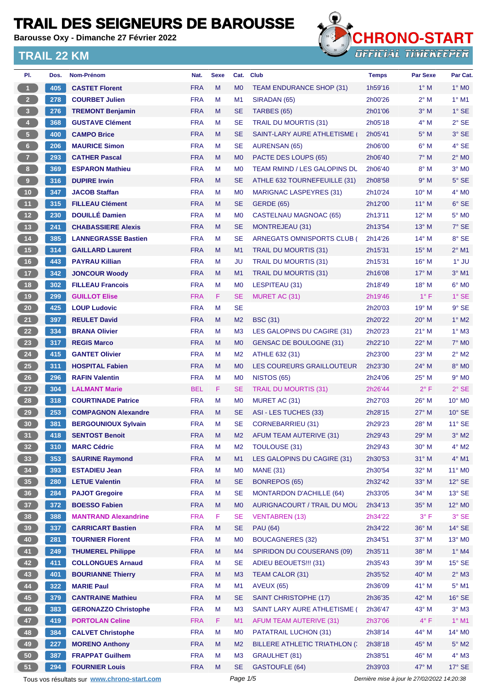**Barousse Oxy - Dimanche 27 Février 2022**



| PI.             | Dos. | <b>Nom-Prénom</b>                           | Nat.       | <b>Sexe</b> | Cat.           | <b>Club</b>                            | <b>Temps</b>                                | <b>Par Sexe</b> | Par Cat.           |
|-----------------|------|---------------------------------------------|------------|-------------|----------------|----------------------------------------|---------------------------------------------|-----------------|--------------------|
| 1 <sup>1</sup>  | 405  | <b>CASTET Florent</b>                       | <b>FRA</b> | M           | M <sub>0</sub> | <b>TEAM ENDURANCE SHOP (31)</b>        | 1h59'16                                     | $1^\circ$ M     | $1^\circ$ MO       |
| $2 -$           | 278  | <b>COURBET Julien</b>                       | <b>FRA</b> | M           | M <sub>1</sub> | SIRADAN (65)                           | 2h00'26                                     | $2^{\circ}$ M   | $1°$ M1            |
| 3 <sup>7</sup>  | 276  | <b>TREMONT Benjamin</b>                     | <b>FRA</b> | M           | <b>SE</b>      | TARBES (65)                            | 2h01'06                                     | $3°$ M          | $1^\circ$ SE       |
| $\overline{4}$  | 368  | <b>GUSTAVE Clément</b>                      | <b>FRA</b> | M           | <b>SE</b>      | <b>TRAIL DU MOURTIS (31)</b>           | 2h05'18                                     | 4° M            | $2^{\circ}$ SE     |
| 5 <sub>1</sub>  | 400  | <b>CAMPO Brice</b>                          | <b>FRA</b> | M           | <b>SE</b>      | SAINT-LARY AURE ATHLETISME             | 2h05'41                                     | $5^\circ$ M     | 3° SE              |
| $6 -$           | 206  | <b>MAURICE Simon</b>                        | <b>FRA</b> | M           | <b>SE</b>      | AURENSAN (65)                          | 2h06'00                                     | $6^\circ$ M     | 4° SE              |
| 7 <sup>2</sup>  | 293  | <b>CATHER Pascal</b>                        | <b>FRA</b> | M           | M <sub>0</sub> | PACTE DES LOUPS (65)                   | 2h06'40                                     | $7^\circ$ M     | $2^{\circ}$ MO     |
| 8 <sub>1</sub>  | 369  | <b>ESPARON Mathieu</b>                      | <b>FRA</b> | M           | M <sub>0</sub> | <b>TEAM RMIND / LES GALOPINS DU</b>    | 2h06'40                                     | $8^\circ$ M     | $3°$ MO            |
| 9               | 316  | <b>DUPIRE Irwin</b>                         | <b>FRA</b> | M           | <b>SE</b>      | ATHLE 632 TOURNEFEUILLE (31)           | 2h08'58                                     | 9° M            | $5^\circ$ SE       |
| 10 <sub>1</sub> | 347  | <b>JACOB Staffan</b>                        | <b>FRA</b> | M           | M <sub>0</sub> | <b>MARIGNAC LASPEYRES (31)</b>         | 2h10'24                                     | 10° M           | $4^\circ$ MO       |
| 11              | 315  | <b>FILLEAU Clément</b>                      | <b>FRA</b> | M           | <b>SE</b>      | <b>GERDE (65)</b>                      | 2h12'00                                     | $11^{\circ}$ M  | $6°$ SE            |
| 12 <sup>7</sup> | 230  | <b>DOUILLÉ Damien</b>                       | <b>FRA</b> | M           | M <sub>0</sub> | <b>CASTELNAU MAGNOAC (65)</b>          | 2h13'11                                     | 12° M           | $5^\circ$ MO       |
| 13 <sup>°</sup> | 241  | <b>CHABASSIERE Alexis</b>                   | <b>FRA</b> | M           | <b>SE</b>      | MONTREJEAU (31)                        | 2h13'54                                     | $13^{\circ}$ M  | 7° SE              |
| 14              | 385  | <b>LANNEGRASSE Bastien</b>                  | <b>FRA</b> | M           | <b>SE</b>      | ARNEGATS OMNISPORTS CLUB (             | 2h14'26                                     | $14^{\circ}$ M  | 8° SE              |
| 15              | 314  | <b>GAILLARD Laurent</b>                     | <b>FRA</b> | M           | M1             | TRAIL DU MOURTIS (31)                  | 2h15'31                                     | $15^{\circ}$ M  | $2^{\circ}$ M1     |
| 16              | 443  | <b>PAYRAU Killian</b>                       | <b>FRA</b> | M           | <b>JU</b>      | <b>TRAIL DU MOURTIS (31)</b>           | 2h15'31                                     | $16^{\circ}$ M  | $1^\circ$ JU       |
| 17 <sup>°</sup> | 342  | <b>JONCOUR Woody</b>                        | <b>FRA</b> | M           | M <sub>1</sub> | TRAIL DU MOURTIS (31)                  | 2h16'08                                     | $17^{\circ}$ M  | $3°$ M1            |
| 18              | 302  | <b>FILLEAU Francois</b>                     | <b>FRA</b> | M           | M <sub>0</sub> | LESPITEAU (31)                         | 2h18'49                                     | 18° M           | $6^\circ$ MO       |
| 19              | 299  | <b>GUILLOT Elise</b>                        | <b>FRA</b> | F           | <b>SE</b>      | MURET AC (31)                          | 2h19'46                                     | $1^{\circ}$ F   | $1^\circ$ SE       |
| 20 <sub>2</sub> | 425  | <b>LOUP Ludovic</b>                         | <b>FRA</b> | M           | <b>SE</b>      |                                        | 2h20'03                                     | $19°$ M         | $9^{\circ}$ SE     |
| 21              | 397  | <b>REULET David</b>                         | <b>FRA</b> | M           | M <sub>2</sub> | <b>BSC (31)</b>                        | 2h20'22                                     | $20^\circ$ M    | $1^\circ$ M2       |
| 22              | 334  | <b>BRANA Olivier</b>                        | <b>FRA</b> | M           | M <sub>3</sub> | LES GALOPINS DU CAGIRE (31)            | 2h20'23                                     | $21^{\circ}$ M  | $1^\circ$ M3       |
| 23              | 317  | <b>REGIS Marco</b>                          | <b>FRA</b> | M           | M <sub>0</sub> | GENSAC DE BOULOGNE (31)                | 2h22'10                                     | 22° M           | $7°$ MO            |
| 24              | 415  | <b>GANTET Olivier</b>                       | <b>FRA</b> | M           | M <sub>2</sub> | ATHLE 632 (31)                         | 2h23'00                                     | 23° M           | $2^{\circ}$ M2     |
| 25              | 311  | <b>HOSPITAL Fabien</b>                      | <b>FRA</b> | M           | M <sub>0</sub> | LES COUREURS GRAILLOUTEUR              | 2h23'30                                     | $24^{\circ}$ M  | $8^\circ$ MO       |
| $26\phantom{.}$ | 296  | <b>RAFIN Valentin</b>                       | <b>FRA</b> | M           | M <sub>0</sub> | <b>NISTOS (65)</b>                     | 2h24'06                                     | $25^{\circ}$ M  | $9°$ MO            |
| 27              | 304  | <b>LALMANT Marie</b>                        | <b>BEL</b> | F           | <b>SE</b>      |                                        | 2h26'44                                     | $2^{\circ}$ F   | $2°$ SE            |
| 28              | 318  | <b>COURTINADE Patrice</b>                   | <b>FRA</b> | M           | M <sub>0</sub> | <b>TRAIL DU MOURTIS (31)</b>           |                                             | 26° M           | 10° M <sub>0</sub> |
|                 |      |                                             |            | M           |                | MURET AC (31)<br>ASI - LES TUCHES (33) | 2h27'03                                     |                 |                    |
| 29              | 253  | <b>COMPAGNON Alexandre</b>                  | <b>FRA</b> |             | <b>SE</b>      |                                        | 2h28'15                                     | $27^\circ$ M    | $10^{\circ}$ SE    |
| 30              | 381  | <b>BERGOUNIOUX Sylvain</b>                  | <b>FRA</b> | M           | <b>SE</b>      | <b>CORNEBARRIEU (31)</b>               | 2h29'23                                     | 28° M           | $11^{\circ}$ SE    |
| 31              | 418  | <b>SENTOST Benoit</b>                       | <b>FRA</b> | M           | M <sub>2</sub> | AFUM TEAM AUTERIVE (31)                | 2h29'43                                     | $29^\circ$ M    | $3^\circ$ M2       |
| 32 <sub>2</sub> | 310  | <b>MARC Cédric</b>                          | <b>FRA</b> | M           | M <sub>2</sub> | <b>TOULOUSE (31)</b>                   | 2h29'43                                     | 30° M           | $4^{\circ}$ M2     |
| 33              | 353  | <b>SAURINE Raymond</b>                      | <b>FRA</b> | M           | M1             | LES GALOPINS DU CAGIRE (31)            | 2h30'53                                     | $31^\circ$ M    | $4^\circ$ M1       |
| 34              | 393  | <b>ESTADIEU Jean</b>                        | <b>FRA</b> | M           | M <sub>0</sub> | <b>MANE (31)</b>                       | 2h30'54                                     | 32° M           | 11° MO             |
| 35              | 280  | <b>LETUE Valentin</b>                       | <b>FRA</b> | M           | <b>SE</b>      | <b>BONREPOS (65)</b>                   | 2h32'42                                     | 33° M           | $12^{\circ}$ SE    |
| 36 <sup>°</sup> | 284  | <b>PAJOT Gregoire</b>                       | <b>FRA</b> | M           | <b>SE</b>      | <b>MONTARDON D'ACHILLE (64)</b>        | 2h33'05                                     | 34° M           | $13^\circ$ SE      |
| 37 <sup>°</sup> | 372  | <b>BOESSO Fabien</b>                        | <b>FRA</b> | M           | M <sub>0</sub> | AURIGNACOURT / TRAIL DU MOL            | 2h34'13                                     | 35° M           | 12° MO             |
| 38              | 388  | <b>MANTRAND Alexandrine</b>                 | <b>FRA</b> | F           | <b>SE</b>      | <b>VENTABREN (13)</b>                  | 2h34'22                                     | $3^{\circ}$ F   | $3°$ SE            |
| 39              | 337  | <b>CARRICART Bastien</b>                    | <b>FRA</b> | M           | <b>SE</b>      | <b>PAU (64)</b>                        | 2h34'22                                     | 36° M           | $14^\circ$ SE      |
| 40              | 281  | <b>TOURNIER Florent</b>                     | <b>FRA</b> | M           | M <sub>0</sub> | <b>BOUCAGNERES (32)</b>                | 2h34'51                                     | 37° M           | 13° MO             |
| 41              | 249  | <b>THUMEREL Philippe</b>                    | <b>FRA</b> | M           | M4             | <b>SPIRIDON DU COUSERANS (09)</b>      | 2h35'11                                     | 38° M           | $1^\circ$ M4       |
| 42 <sup>7</sup> | 411  | <b>COLLONGUES Arnaud</b>                    | <b>FRA</b> | M           | <b>SE</b>      | <b>ADIEU BEOUETS!!! (31)</b>           | 2h35'43                                     | 39° M           | $15^\circ$ SE      |
| 43              | 401  | <b>BOURIANNE Thierry</b>                    | <b>FRA</b> | M           | M3             | TEAM CALOR (31)                        | 2h35'52                                     | 40° M           | $2^{\circ}$ M3     |
| 44              | 322  | <b>MARIE Paul</b>                           | <b>FRA</b> | M           | M <sub>1</sub> | <b>AVEUX (65)</b>                      | 2h36'09                                     | 41° M           | $5^\circ$ M1       |
| 45              | 379  | <b>CANTRAINE Mathieu</b>                    | <b>FRA</b> | M           | <b>SE</b>      | <b>SAINT CHRISTOPHE (17)</b>           | 2h36'35                                     | 42° M           | 16° SE             |
| 46              | 383  | <b>GERONAZZO Christophe</b>                 | <b>FRA</b> | M           | M <sub>3</sub> | SAINT LARY AURE ATHLETISME (           | 2h36'47                                     | $43^\circ$ M    | $3^\circ$ M3       |
| 47              | 419  | <b>PORTOLAN Celine</b>                      | <b>FRA</b> | F           | M1             | AFUM TEAM AUTERIVE (31)                | 2h37'06                                     | $4^{\circ}$ F   | $1^\circ$ M1       |
| 48              | 384  | <b>CALVET Christophe</b>                    | <b>FRA</b> | M           | M <sub>0</sub> | PATATRAIL LUCHON (31)                  | 2h38'14                                     | 44° M           | 14° M0             |
| 49              | 227  | <b>MORENO Anthony</b>                       | <b>FRA</b> | M           | M <sub>2</sub> | <b>BILLERE ATHLETIC TRIATHLON (:</b>   | 2h38'18                                     | 45° M           | $5^\circ$ M2       |
| 50              | 387  | <b>FRAPPAT Guilhem</b>                      | <b>FRA</b> | M           | M <sub>3</sub> | GRAULHET (81)                          | 2h38'51                                     | 46° M           | $4^\circ$ M3       |
| 51              | 294  | <b>FOURNIER Louis</b>                       | <b>FRA</b> | M           | <b>SE</b>      | <b>GASTOUFLE (64)</b>                  | 2h39'03                                     | 47° M           | $17^\circ$ SE      |
|                 |      | Tous vos résultats sur www.chrono-start.com |            |             | Page 1/5       |                                        | Dernière mise à jour le 27/02/2022 14:20:38 |                 |                    |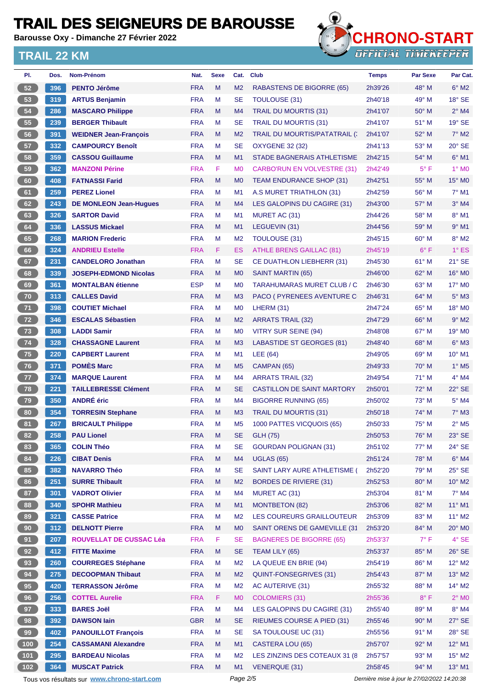**Barousse Oxy - Dimanche 27 Février 2022**



| PI.             | Dos. | Nom-Prénom                                  | Nat.       | <b>Sexe</b> | Cat.           | <b>Club</b>                        | <b>Temps</b>                                | Par Sexe       | Par Cat.                   |
|-----------------|------|---------------------------------------------|------------|-------------|----------------|------------------------------------|---------------------------------------------|----------------|----------------------------|
| 52              | 396  | <b>PENTO Jérôme</b>                         | <b>FRA</b> | M           | M <sub>2</sub> | RABASTENS DE BIGORRE (65)          | 2h39'26                                     | 48° M          | $6^\circ$ M2               |
| 53              | 319  | <b>ARTUS Benjamin</b>                       | <b>FRA</b> | M           | <b>SE</b>      | TOULOUSE (31)                      | 2h40'18                                     | 49° M          | $18°$ SE                   |
| 54              | 286  | <b>MASCARO Philippe</b>                     | <b>FRA</b> | M           | M4             | <b>TRAIL DU MOURTIS (31)</b>       | 2h41'07                                     | $50^\circ$ M   | $2^{\circ}$ M4             |
| 55              | 239  | <b>BERGER Thibault</b>                      | <b>FRA</b> | м           | <b>SE</b>      | TRAIL DU MOURTIS (31)              | 2h41'07                                     | $51^\circ$ M   | $19^\circ$ SE              |
| 56              | 391  | <b>WEIDNER Jean-François</b>                | <b>FRA</b> | M           | M <sub>2</sub> | TRAIL DU MOURTIS/PATATRAIL (:      | 2h41'07                                     | 52° M          | $7^\circ$ M2               |
| 57              | 332  | <b>CAMPOURCY Benoît</b>                     | <b>FRA</b> | М           | <b>SE</b>      | OXYGENE 32 (32)                    | 2h41'13                                     | 53° M          | 20° SE                     |
| 58              | 359  | <b>CASSOU Guillaume</b>                     | <b>FRA</b> | M           | M1             | STADE BAGNERAIS ATHLETISME         | 2h42'15                                     | 54° M          | $6^{\circ}$ M1             |
| 59              | 362  | <b>MANZONI Périne</b>                       | <b>FRA</b> | F           | M <sub>0</sub> | <b>CARBO'RUN EN VOLVESTRE (31)</b> | 2h42'49                                     | $5^{\circ}$ F  | 1° M <sub>0</sub>          |
| 60              | 408  | <b>FATNASSI Farid</b>                       | <b>FRA</b> | M           | M <sub>0</sub> | TEAM ENDURANCE SHOP (31)           | 2h42'51                                     | 55° M          | 15° M0                     |
| 61              | 259  | <b>PEREZ Lionel</b>                         | <b>FRA</b> | М           | M <sub>1</sub> | A.S MURET TRIATHLON (31)           | 2h42'59                                     | $56^{\circ}$ M | $7^\circ$ M1               |
| 62              | 243  | <b>DE MONLEON Jean-Hugues</b>               | <b>FRA</b> | M           | M4             | LES GALOPINS DU CAGIRE (31)        | 2h43'00                                     | $57^\circ$ M   | $3°$ M4                    |
| 63              | 326  | <b>SARTOR David</b>                         | <b>FRA</b> | М           | M1             | MURET AC (31)                      | 2h44'26                                     | $58^{\circ}$ M | $8^\circ$ M1               |
| 64              | 336  | <b>LASSUS Mickael</b>                       | <b>FRA</b> | M           | M1             | LEGUEVIN (31)                      | 2h44'56                                     | 59° M          | $9°$ M1                    |
| 65              | 268  | <b>MARION Frederic</b>                      | <b>FRA</b> | м           | M <sub>2</sub> | TOULOUSE (31)                      | 2h45'15                                     | $60^{\circ}$ M | $8^\circ$ M2               |
| 66              | 324  | <b>ANDRIEU Estelle</b>                      | <b>FRA</b> | F.          | <b>ES</b>      | <b>ATHLE BRENS GAILLAC (81)</b>    | 2h45'19                                     | $6^{\circ}$ F  | $1^\circ$ ES               |
| 67              | 231  | <b>CANDELORO Jonathan</b>                   | <b>FRA</b> | M           | <b>SE</b>      | CE DUATHLON LIEBHERR (31)          | 2h45'30                                     | 61° M          | $21^\circ$ SE              |
| 68              | 339  | <b>JOSEPH-EDMOND Nicolas</b>                | <b>FRA</b> | M           | M <sub>0</sub> | SAINT MARTIN (65)                  | 2h46'00                                     | $62^\circ$ M   | $16^\circ$ MO              |
| 69              | 361  | <b>MONTALBAN étienne</b>                    | <b>ESP</b> | M           | M <sub>0</sub> | <b>TARAHUMARAS MURET CLUB / C</b>  | 2h46'30                                     | $63^\circ$ M   | $17^\circ$ MO              |
| 70              | 313  | <b>CALLES David</b>                         | <b>FRA</b> | M           | M <sub>3</sub> | PACO ( PYRENEES AVENTURE C         | 2h46'31                                     | $64^{\circ}$ M | $5^\circ$ M3               |
| 71              | 398  | <b>COUTIET Michael</b>                      | <b>FRA</b> | М           | M <sub>0</sub> | LHERM (31)                         | 2h47'24                                     | $65^{\circ}$ M | 18° M <sub>0</sub>         |
| 72              | 346  | <b>ESCALAS Sébastien</b>                    | <b>FRA</b> | M           | M <sub>2</sub> | <b>ARRATS TRAIL (32)</b>           | 2h47'29                                     | $66^{\circ}$ M | $9°$ M <sub>2</sub>        |
| 73              | 308  | <b>LADDI Samir</b>                          | <b>FRA</b> | м           | M <sub>0</sub> | VITRY SUR SEINE (94)               | 2h48'08                                     | 67° M          | 19° M0                     |
| 74              | 328  | <b>CHASSAGNE Laurent</b>                    | <b>FRA</b> | M           | M <sub>3</sub> | <b>LABASTIDE ST GEORGES (81)</b>   | 2h48'40                                     | 68° M          | $6^\circ$ M3               |
| 75              | 220  | <b>CAPBERT Laurent</b>                      | <b>FRA</b> | M           | M1             | LEE (64)                           | 2h49'05                                     | $69^\circ$ M   | $10^{\circ}$ M1            |
| 76              | 371  | <b>POMÈS Marc</b>                           | <b>FRA</b> | M           | M <sub>5</sub> | CAMPAN (65)                        | 2h49'33                                     | 70° M          | $1^\circ$ M <sub>5</sub>   |
| 77              | 374  | <b>MARQUE Laurent</b>                       | <b>FRA</b> | м           | M4             | ARRATS TRAIL (32)                  | 2h49'54                                     | $71^\circ$ M   | $4^\circ$ M4               |
| 78              | 221  | <b>TAILLEBRESSE Clément</b>                 | <b>FRA</b> | M           | <b>SE</b>      | <b>CASTILLON DE SAINT MARTORY</b>  | 2h50'01                                     | $72^{\circ}$ M | 22° SE                     |
| 79              | 350  | <b>ANDRÉ</b> éric                           | <b>FRA</b> | М           | M4             | <b>BIGORRE RUNNING (65)</b>        | 2h50'02                                     | $73^\circ$ M   | 5° M4                      |
| 80              | 354  | <b>TORRESIN Stephane</b>                    | <b>FRA</b> | M           | M <sub>3</sub> | TRAIL DU MOURTIS (31)              | 2h50'18                                     | $74^\circ$ M   | $7^\circ$ M3               |
| 81              | 267  | <b>BRICAULT Philippe</b>                    | <b>FRA</b> | м           | M <sub>5</sub> | 1000 PATTES VICQUOIS (65)          | 2h50'33                                     | $75^{\circ}$ M | $2^{\circ}$ M <sub>5</sub> |
| 82)             | 258  | <b>PAU Lionel</b>                           | <b>FRA</b> | M           | <b>SE</b>      | <b>GLH (75)</b>                    | 2h50'53                                     | 76° M          | 23° SE                     |
| 83              | 365  | <b>COLIN Théo</b>                           | <b>FRA</b> | M           | SE             | <b>GOURDAN POLIGNAN (31)</b>       | 2h51'02                                     | 77° M          | $24^\circ$ SE              |
| 84              | 226  | <b>CIBAT Denis</b>                          | <b>FRA</b> | M           | M4             | <b>UGLAS (65)</b>                  | 2h51'24                                     | 78° M          | $6^\circ$ M4               |
| 85              | 382  | <b>NAVARRO Théo</b>                         | <b>FRA</b> | M           | <b>SE</b>      | SAINT LARY AURE ATHLETISME (       | 2h52'20                                     | $79^\circ$ M   | $25^\circ$ SE              |
| 86              | 251  | <b>SURRE Thibault</b>                       | <b>FRA</b> | M           | M <sub>2</sub> | <b>BORDES DE RIVIERE (31)</b>      | 2h52'53                                     | 80° M          | $10^{\circ}$ M2            |
| 87              | 301  | <b>VADROT Olivier</b>                       | <b>FRA</b> | M           | M4             | MURET AC (31)                      | 2h53'04                                     | 81° M          | $7^\circ$ M4               |
| 88              | 340  | <b>SPOHR Mathieu</b>                        | <b>FRA</b> | M           | M1             | <b>MONTBETON (82)</b>              | 2h53'06                                     | 82° M          | $11^{\circ}$ M1            |
| 89              | 321  | <b>CASSE Patrice</b>                        | <b>FRA</b> | M           | M <sub>2</sub> | LES COUREURS GRAILLOUTEUR          | 2h53'09                                     | 83° M          | $11^{\circ}$ M2            |
| 90 <sub>o</sub> | 312  | <b>DELNOTT Pierre</b>                       | <b>FRA</b> | M           | M <sub>0</sub> | SAINT ORENS DE GAMEVILLE (31       | 2h53'20                                     | 84° M          | $20^\circ$ MO              |
| 91              | 207  | ROUVELLAT DE CUSSAC Léa                     | <b>FRA</b> | F           | <b>SE</b>      | <b>BAGNERES DE BIGORRE (65)</b>    |                                             | $7^\circ$ F    | $4^\circ$ SE               |
| 92              | 412  | <b>FITTE Maxime</b>                         | <b>FRA</b> | M           | <b>SE</b>      | TEAM LILY (65)                     | 2h53'37<br>2h53'37                          | $85^\circ$ M   | $26^\circ$ SE              |
| 93              | 260  | <b>COURREGES Stéphane</b>                   | <b>FRA</b> | M           | M <sub>2</sub> | LA QUEUE EN BRIE (94)              | 2h54'19                                     | 86° M          | $12^{\circ}$ M2            |
|                 |      |                                             |            |             |                |                                    |                                             |                |                            |
| 94              | 275  | <b>DECOOPMAN Thibaut</b>                    | <b>FRA</b> | M           | M <sub>2</sub> | QUINT-FONSEGRIVES (31)             | 2h54'43                                     | 87° M          | $13^\circ$ M2              |
| 95              | 420  | <b>TERRASSON Jérôme</b>                     | <b>FRA</b> | М           | M <sub>2</sub> | AC AUTERIVE (31)                   | 2h55'32                                     | 88° M          | $14^{\circ}$ M2            |
| 96              | 256  | <b>COTTEL Aurelie</b>                       | <b>FRA</b> | F.          | M <sub>0</sub> | <b>COLOMIERS (31)</b>              | 2h55'36                                     | $8^{\circ}$ F  | $2^{\circ}$ MO             |
| 97              | 333  | <b>BARES Joël</b>                           | <b>FRA</b> | M           | M4             | LES GALOPINS DU CAGIRE (31)        | 2h55'40                                     | 89° M          | $8^\circ$ M4               |
| 98              | 392  | <b>DAWSON lain</b>                          | <b>GBR</b> | M           | <b>SE</b>      | <b>RIEUMES COURSE A PIED (31)</b>  | 2h55'46                                     | 90° M          | $27^\circ$ SE              |
| 99              | 402  | <b>PANOUILLOT François</b>                  | <b>FRA</b> | М           | <b>SE</b>      | SA TOULOUSE UC (31)                | 2h55'56                                     | $91^\circ$ M   | $28^\circ$ SE              |
| $100$           | 254  | <b>CASSAMANI Alexandre</b>                  | <b>FRA</b> | M           | M1             | CASTERA LOU (65)                   | 2h57'07                                     | 92° M          | $12^{\circ}$ M1            |
| $101$           | 295  | <b>BARDEAU Nicolas</b>                      | <b>FRA</b> | М           | M <sub>2</sub> | LES ZINZINS DES COTEAUX 31 (8      | 2h57'57                                     | $93^\circ$ M   | $15^{\circ}$ M2            |
| $102$           | 364  | <b>MUSCAT Patrick</b>                       | <b>FRA</b> | M           | M1             | <b>VENERQUE (31)</b>               | 2h58'45                                     | $94^\circ$ M   | $13^{\circ}$ M1            |
|                 |      | Tous vos résultats sur www.chrono-start.com |            |             | Page 2/5       |                                    | Dernière mise à jour le 27/02/2022 14:20:38 |                |                            |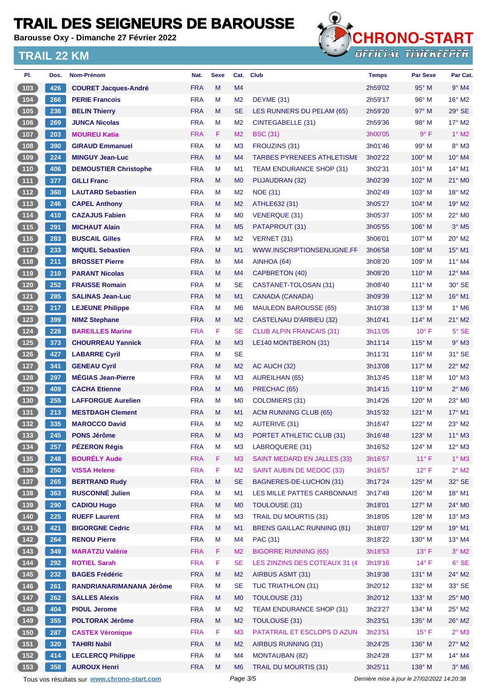**Barousse Oxy - Dimanche 27 Février 2022**



| PI.                                            | Dos. | Nom-Prénom                                  | Nat.       | <b>Sexe</b> |                | Cat. Club                          | <b>Temps</b> | <b>Par Sexe</b>                             | Par Cat.                   |
|------------------------------------------------|------|---------------------------------------------|------------|-------------|----------------|------------------------------------|--------------|---------------------------------------------|----------------------------|
| 103                                            | 426  | <b>COURET Jacques-André</b>                 | <b>FRA</b> | M           | M <sub>4</sub> |                                    | 2h59'02      | 95° M                                       | $9°$ M4                    |
| 104                                            | 266  | <b>PERIE Francois</b>                       | <b>FRA</b> | M           | M <sub>2</sub> | DEYME (31)                         | 2h59'17      | $96^\circ$ M                                | $16^{\circ}$ M2            |
| 105                                            | 236  | <b>BELIN Thierry</b>                        | <b>FRA</b> | M           | <b>SE</b>      | LES RUNNERS DU PELAM (65)          | 2h59'20      | $97^\circ$ M                                | 29° SE                     |
| 106                                            | 269  | <b>JUNCA Nicolas</b>                        | <b>FRA</b> | M           | M <sub>2</sub> | CINTEGABELLE (31)                  | 2h59'36      | 98° M                                       | 17° M2                     |
| 107                                            | 203  | <b>MOUREU Katia</b>                         | <b>FRA</b> | F.          | M <sub>2</sub> | <b>BSC (31)</b>                    | 3h00'05      | $9^{\circ}$ F                               | $1^\circ$ M2               |
| 108                                            | 390  | <b>GIRAUD Emmanuel</b>                      | <b>FRA</b> | M           | M <sub>3</sub> | FROUZINS (31)                      | 3h01'46      | 99° M                                       | $8^\circ$ M3               |
| (109)                                          | 224  | <b>MINGUY Jean-Luc</b>                      | <b>FRA</b> | M           | M <sub>4</sub> | <b>TARBES PYRENEES ATHLETISME</b>  | 3h02'22      | $100^\circ$ M                               | $10^{\circ}$ M4            |
| $110$                                          | 406  | <b>DEMOUSTIER Christophe</b>                | <b>FRA</b> | М           | M <sub>1</sub> | <b>TEAM ENDURANCE SHOP (31)</b>    | 3h02'31      | $101^\circ$ M                               | 14° M1                     |
| $\boxed{111}$                                  | 377  | <b>GILLI Franc</b>                          | <b>FRA</b> | M           | M <sub>0</sub> | PUJAUDRAN (32)                     | 3h02'39      | 102° M                                      | 21° MO                     |
| $\boxed{112}$                                  | 360  | <b>LAUTARD Sebastien</b>                    | <b>FRA</b> | M           | M <sub>2</sub> | <b>NOE (31)</b>                    | 3h02'49      | $103^\circ$ M                               | 18° M2                     |
| (113)                                          | 246  | <b>CAPEL Anthony</b>                        | <b>FRA</b> | M           | M <sub>2</sub> | ATHLE632 (31)                      | 3h05'27      | $104^\circ$ M                               | $19^\circ$ M2              |
| $\boxed{114}$                                  | 410  | <b>CAZAJUS Fabien</b>                       | <b>FRA</b> | М           | M <sub>0</sub> | <b>VENERQUE (31)</b>               | 3h05'37      | 105° M                                      | $22^\circ$ MO              |
| $115$                                          | 291  | <b>MICHAUT Alain</b>                        | <b>FRA</b> | M           | M <sub>5</sub> | PATAPROUT (31)                     | 3h05'55      | $106^\circ$ M                               | $3°$ M <sub>5</sub>        |
| 116                                            | 283  | <b>BUSCAIL Gilles</b>                       | <b>FRA</b> | м           | M <sub>2</sub> | VERNET (31)                        | 3h06'01      | 107° M                                      | 20° M2                     |
| (117)                                          | 233  | <b>MIQUEL Sebastien</b>                     | <b>FRA</b> | M           | M <sub>1</sub> | WWW.INSCRIPTIONSENLIGNE.FF         | 3h06'58      | 108° M                                      | 15° M1                     |
| 118                                            | 211  | <b>BROSSET Pierre</b>                       | <b>FRA</b> | м           | M <sub>4</sub> | AINHOA (64)                        | 3h08'20      | $109^\circ$ M                               | $11^{\circ}$ M4            |
| 119                                            | 210  | <b>PARANT Nicolas</b>                       | <b>FRA</b> | M           | M <sub>4</sub> | CAPBRETON (40)                     | 3h08'20      | $110^\circ$ M                               | 12° M4                     |
| $120$                                          | 252  | <b>FRAISSE Romain</b>                       | <b>FRA</b> | М           | <b>SE</b>      | CASTANET-TOLOSAN (31)              | 3h08'40      | $111^\circ$ M                               | $30^\circ$ SE              |
| 121                                            | 285  | <b>SALINAS Jean-Luc</b>                     | <b>FRA</b> | M           | M <sub>1</sub> | CANADA (CANADA)                    | 3h09'39      | 112° M                                      | $16^{\circ}$ M1            |
| 122                                            | 217  | <b>LEJEUNE Philippe</b>                     | <b>FRA</b> | М           | M <sub>6</sub> | <b>MAULEON BAROUSSE (65)</b>       | 3h10'38      | $113^\circ$ M                               | $1^\circ$ M6               |
| $123$                                          | 399  | <b>NIMZ Stephane</b>                        | <b>FRA</b> | M           | M <sub>2</sub> | CASTELNAU D'ARBIEU (32)            | 3h10'41      | $114^\circ$ M                               | $21^\circ$ M2              |
| $\begin{array}{c} \boxed{124} \end{array}$     | 228  | <b>BAREILLES Marine</b>                     | <b>FRA</b> | F           | <b>SE</b>      | <b>CLUB ALPIN FRANCAIS (31)</b>    | 3h11'05      | $10^{\circ}$ F                              | $5^\circ$ SE               |
| (125)                                          | 373  | <b>CHOURREAU Yannick</b>                    | <b>FRA</b> | M           | M <sub>3</sub> | LE140 MONTBERON (31)               | 3h11'14      | $115^\circ$ M                               | $9°$ M3                    |
| 126                                            | 427  | <b>LABARRE Cyril</b>                        | <b>FRA</b> | M           | <b>SE</b>      |                                    | 3h11'31      | $116^{\circ}$ M                             | $31^\circ$ SE              |
| 127                                            | 341  | <b>GENEAU Cyril</b>                         | <b>FRA</b> | M           | M <sub>2</sub> | AC AUCH (32)                       | 3h13'08      | $117^\circ$ M                               | 22° M2                     |
| $128$                                          | 297  | <b>MÉGIAS Jean-Pierre</b>                   | <b>FRA</b> | М           | M <sub>3</sub> | AUREILHAN (65)                     | 3h13'45      | $118°$ M                                    | $10^{\circ}$ M3            |
| $129$                                          | 409  | <b>CACHA Etienne</b>                        | <b>FRA</b> | M           | M <sub>6</sub> | PRECHAC (65)                       | 3h14'15      | $119^\circ$ M                               | $2^{\circ}$ M <sub>6</sub> |
| 130                                            | 255  | <b>LAFFORGUE Aurelien</b>                   | <b>FRA</b> | М           | M <sub>0</sub> | COLOMIERS (31)                     | 3h14'26      | $120^\circ$ M                               | 23° MO                     |
| (131)                                          | 213  | <b>MESTDAGH Clement</b>                     | <b>FRA</b> | M           | M1             | ACM RUNNING CLUB (65)              | 3h15'32      | $121^\circ$ M                               | $17^{\circ}$ M1            |
| 132                                            | 335  | <b>MAROCCO David</b>                        | <b>FRA</b> | М           | M <sub>2</sub> | <b>AUTERIVE (31)</b>               | 3h16'47      | $122^{\circ}$ M                             | $23^\circ$ M2              |
| (133)                                          | 245  | <b>PONS Jérôme</b>                          | <b>FRA</b> | м           | M <sub>3</sub> | PORTET ATHLETIC CLUB (31)          | 3h16'48      | 123° M                                      | $11^{\circ}$ M3            |
| $\begin{array}{c} \n \text{134}\n \end{array}$ | 257  | <b>PÉZERON Régis</b>                        | <b>FRA</b> | M           | M <sub>3</sub> | LABROQUERE (31)                    | 3h16'52      | 124° M                                      | $12^{\circ}$ M3            |
| (135)                                          | 248  | <b>BOURÉLY Aude</b>                         | <b>FRA</b> | F.          | M <sub>3</sub> | <b>SAINT MEDARD EN JALLES (33)</b> | 3h16'57      | $11^{\circ}$ F                              | $1^\circ$ M3               |
| [136]                                          | 250  | <b>VISSA Helene</b>                         | <b>FRA</b> | F           | M <sub>2</sub> | SAINT AUBIN DE MEDOC (33)          | 3h16'57      | $12^{\circ}$ F                              | $2^{\circ}$ M2             |
| (137)                                          | 265  | <b>BERTRAND Rudy</b>                        | <b>FRA</b> | M           | <b>SE</b>      | BAGNERES-DE-LUCHON (31)            | 3h17'24      | 125° M                                      | $32^\circ$ SE              |
| $138$                                          | 363  | <b>RUSCONNÉ Julien</b>                      | <b>FRA</b> | М           | M1             | LES MILLE PATTES CARBONNAIS        | 3h17'48      | $126^\circ$ M                               | 18° M1                     |
| (139)                                          | 290  | <b>CADIOU Hugo</b>                          | <b>FRA</b> | M           | M <sub>0</sub> | TOULOUSE (31)                      | 3h18'01      | $127^\circ$ M                               | 24° MO                     |
| 140                                            | 225  | <b>RUEFF Laurent</b>                        | <b>FRA</b> | M           | M <sub>3</sub> | <b>TRAIL DU MOURTIS (31)</b>       | 3h18'05      | 128° M                                      | $13^\circ$ M3              |
| $141$                                          | 421  | <b>BIGORGNE Cedric</b>                      | <b>FRA</b> | M           | M <sub>1</sub> | <b>BRENS GAILLAC RUNNING (81)</b>  | 3h18'07      | 129° M                                      | 19° M1                     |
| $\begin{array}{c} \hline 142 \end{array}$      | 264  | <b>RENOU Pierre</b>                         | <b>FRA</b> | M           | M4             | PAC (31)                           | 3h18'22      | $130^\circ$ M                               | 13° M4                     |
| (143)                                          | 349  | <b>MARATZU Valérie</b>                      | <b>FRA</b> | F.          | M <sub>2</sub> | <b>BIGORRE RUNNING (65)</b>        | 3h18'53      | $13^\circ$ F                                | $3^\circ$ M2               |
| 144                                            | 292  | <b>ROTIEL Sarah</b>                         | <b>FRA</b> | F           | <b>SE</b>      | LES ZINZINS DES COTEAUX 31 (4      | 3h19'16      | $14^{\circ}$ F                              | $6°$ SE                    |
| (145)                                          | 232  | <b>BAGES Frédéric</b>                       | <b>FRA</b> | M           | M <sub>2</sub> | AIRBUS ASMT (31)                   | 3h19'38      | 131° M                                      | 24° M2                     |
| $146$                                          | 261  | RANDRIANARIMANANA Jérôme                    | <b>FRA</b> | M           | <b>SE</b>      | <b>TUC TRIATHLON (31)</b>          | 3h20'12      | $132^\circ$ M                               | 33° SE                     |
| $147$                                          | 262  | <b>SALLES Alexis</b>                        | <b>FRA</b> | M           | M <sub>0</sub> | TOULOUSE (31)                      | 3h20'12      | 133° M                                      | 25° MO                     |
| 148                                            | 404  | <b>PIOUL Jerome</b>                         | <b>FRA</b> | M           | M <sub>2</sub> | TEAM ENDURANCE SHOP (31)           | 3h23'27      | 134° M                                      | $25^{\circ}$ M2            |
| (149)                                          | 355  | <b>POLTORAK Jérôme</b>                      | <b>FRA</b> | M           | M <sub>2</sub> | <b>TOULOUSE (31)</b>               | 3h23'51      | 135° M                                      | $26^\circ$ M2              |
| 150                                            | 287  | <b>CASTEX Véronique</b>                     | <b>FRA</b> | F           | M3             | PATATRAIL ET ESCLOPS D AZUN        | 3h23'51      | $15^{\circ}$ F                              | $2^\circ$ M3               |
| 151                                            | 320  | <b>TAHIRI Nabil</b>                         | <b>FRA</b> | M           | M <sub>2</sub> | AIRBUS RUNNING (31)                | 3h24'25      | $136^\circ$ M                               | $27^\circ$ M2              |
| 152                                            | 414  | <b>LECLERCQ Philippe</b>                    | <b>FRA</b> | М           | M <sub>4</sub> | <b>MONTAUBAN (82)</b>              | 3h24'28      | 137° M                                      | 14° M4                     |
| (153)                                          | 358  | <b>AUROUX Henri</b>                         | <b>FRA</b> | M           | M <sub>6</sub> | <b>TRAIL DU MOURTIS (31)</b>       | 3h25'11      | 138° M                                      | $3°$ M <sub>6</sub>        |
|                                                |      | Tous vos résultats sur www.chrono-start.com |            |             | Page 3/5       |                                    |              | Dernière mise à jour le 27/02/2022 14:20:38 |                            |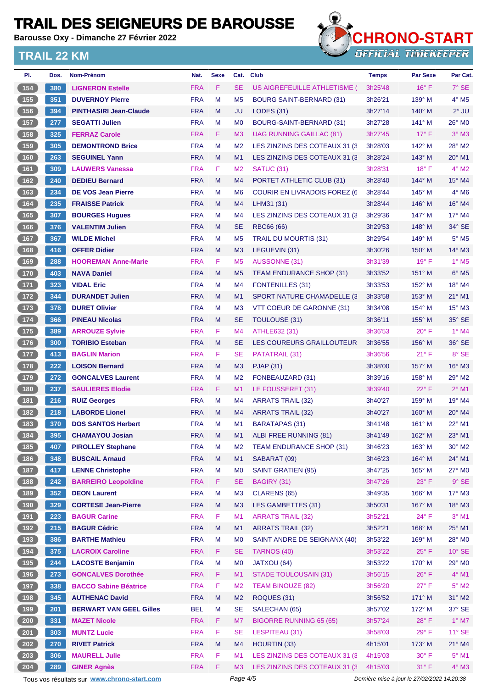**Barousse Oxy - Dimanche 27 Février 2022**



| PI.                                       | Dos. | Nom-Prénom                                  | Nat.       | <b>Sexe</b> | Cat.           | Club                                 | <b>Temps</b> | <b>Par Sexe</b>                             | Par Cat.            |
|-------------------------------------------|------|---------------------------------------------|------------|-------------|----------------|--------------------------------------|--------------|---------------------------------------------|---------------------|
| 154                                       | 380  | <b>LIGNERON Estelle</b>                     | <b>FRA</b> | F.          | <b>SE</b>      | US AIGREFEUILLE ATHLETISME (         | 3h25'48      | $16^{\circ}$ F                              | $7°$ SE             |
| 155                                       | 351  | <b>DUVERNOY Pierre</b>                      | <b>FRA</b> | M           | M <sub>5</sub> | <b>BOURG SAINT-BERNARD (31)</b>      | 3h26'21      | $139^\circ$ M                               | 4° M5               |
| (156)                                     | 394  | <b>PINTHASIRI Jean-Claude</b>               | <b>FRA</b> | M           | JU             | <b>LODES (31)</b>                    | 3h27'14      | $140^\circ$ M                               | $2^{\circ}$ JU      |
| $457$                                     | 277  | <b>SEGATTI Julien</b>                       | <b>FRA</b> | M           | M <sub>0</sub> | BOURG-SAINT-BERNARD (31)             | 3h27'28      | $141^\circ$ M                               | 26° MO              |
| 158                                       | 325  | <b>FERRAZ Carole</b>                        | <b>FRA</b> | F.          | M <sub>3</sub> | UAG RUNNING GAILLAC (81)             | 3h27'45      | $17^{\circ}$ F                              | $3°$ M3             |
| 159                                       | 305  | <b>DEMONTROND Brice</b>                     | <b>FRA</b> | M           | M <sub>2</sub> | LES ZINZINS DES COTEAUX 31 (3)       | 3h28'03      | $142^\circ$ M                               | 28° M2              |
| (160)                                     | 263  | <b>SEGUINEL Yann</b>                        | <b>FRA</b> | M           | M1             | LES ZINZINS DES COTEAUX 31 (3)       | 3h28'24      | $143^\circ$ M                               | $20^\circ$ M1       |
| 161                                       | 309  | <b>LAUWERS Vanessa</b>                      | <b>FRA</b> | F.          | M <sub>2</sub> | SATUC (31)                           | 3h28'31      | $18^{\circ}$ F                              | $4^{\circ}$ M2      |
| 162                                       | 240  | <b>DEDIEU Bernard</b>                       | <b>FRA</b> | M           | M4             | PORTET ATHLETIC CLUB (31)            | 3h28'40      | $144^\circ$ M                               | $15^\circ$ M4       |
| 163                                       | 234  | <b>DE VOS Jean Pierre</b>                   | <b>FRA</b> | м           | M <sub>6</sub> | <b>COURIR EN LIVRADOIS FOREZ (6)</b> | 3h28'44      | $145^\circ$ M                               | $4^\circ$ M6        |
| 164                                       | 235  | <b>FRAISSE Patrick</b>                      | <b>FRA</b> | M           | M4             | LHM31 (31)                           | 3h28'44      | $146^\circ$ M                               | 16° M4              |
| 165                                       | 307  | <b>BOURGES Hugues</b>                       | <b>FRA</b> | M           | M <sub>4</sub> | LES ZINZINS DES COTEAUX 31 (3        | 3h29'36      | $147^\circ$ M                               | 17° M4              |
| 166                                       | 376  | <b>VALENTIM Julien</b>                      | <b>FRA</b> | M           | <b>SE</b>      | RBC66 (66)                           | 3h29'53      | $148^\circ$ M                               | 34° SE              |
| 167                                       | 367  | <b>WILDE Michel</b>                         | <b>FRA</b> | M           | M <sub>5</sub> | <b>TRAIL DU MOURTIS (31)</b>         | 3h29'54      | $149^\circ$ M                               | $5^\circ$ M5        |
| 168                                       | 416  | <b>OFFER Didier</b>                         | <b>FRA</b> | M           | M <sub>3</sub> | LEGUEVIN (31)                        | 3h30'26      | $150^\circ$ M                               | $14^{\circ}$ M3     |
| 169                                       | 288  | <b>HOOREMAN Anne-Marie</b>                  | <b>FRA</b> | F.          | M <sub>5</sub> | <b>AUSSONNE (31)</b>                 | 3h31'39      | $19^{\circ}$ F                              | $1°$ M <sub>5</sub> |
| 170                                       | 403  | <b>NAVA Daniel</b>                          | <b>FRA</b> | M           | M <sub>5</sub> | <b>TEAM ENDURANCE SHOP (31)</b>      | 3h33'52      | $151^\circ$ M                               | $6°$ M <sub>5</sub> |
| 171                                       | 323  | <b>VIDAL Eric</b>                           | <b>FRA</b> | м           | M <sub>4</sub> | <b>FONTENILLES (31)</b>              | 3h33'53      | $152^{\circ}$ M                             | 18° M4              |
| (172)                                     | 344  | <b>DURANDET Julien</b>                      | <b>FRA</b> | M           | M1             | <b>SPORT NATURE CHAMADELLE (3)</b>   | 3h33'58      | $153^\circ$ M                               | $21^{\circ}$ M1     |
| 173                                       | 378  | <b>DURET Olivier</b>                        | <b>FRA</b> | M           | M <sub>3</sub> | VTT COEUR DE GARONNE (31)            | 3h34'08      | $154^\circ$ M                               | $15^\circ$ M3       |
| 174                                       | 366  | <b>PINEAU Nicolas</b>                       | <b>FRA</b> | M           | <b>SE</b>      | TOULOUSE (31)                        | 3h36'11      | $155^\circ$ M                               | 35° SE              |
| $\boxed{175}$                             | 389  | <b>ARROUZE Sylvie</b>                       | <b>FRA</b> | F.          | M4             | ATHLE632 (31)                        | 3h36'53      | $20^{\circ}$ F                              | $1^\circ$ M4        |
| 176                                       | 300  | <b>TORIBIO Esteban</b>                      | <b>FRA</b> | M           | <b>SE</b>      | LES COUREURS GRAILLOUTEUR            | 3h36'55      | 156° M                                      | 36° SE              |
| $\boxed{177}$                             | 413  | <b>BAGLIN Marion</b>                        | <b>FRA</b> | F.          | SE             | PATATRAIL (31)                       | 3h36'56      | $21^{\circ}$ F                              | 8° SE               |
| (178)                                     | 222  | <b>LOISON Bernard</b>                       | <b>FRA</b> | M           | M3             | <b>PJAP (31)</b>                     | 3h38'00      | 157° M                                      | $16^\circ$ M3       |
| $179$                                     | 272  | <b>GONCALVES Laurent</b>                    | <b>FRA</b> | M           | M <sub>2</sub> | FONBEAUZARD (31)                     | 3h39'16      | 158° M                                      | 29° M2              |
| 180                                       | 237  | <b>SAULIERES Elodie</b>                     | <b>FRA</b> | F.          | M1             | LE FOUSSERET (31)                    | 3h39'40      | $22^{\circ}$ F                              | $2°$ M1             |
| $181$                                     | 216  | <b>RUIZ Georges</b>                         | <b>FRA</b> | M           | M4             | <b>ARRATS TRAIL (32)</b>             | 3h40'27      | $159^\circ$ M                               | 19° M4              |
| (182)                                     | 218  | <b>LABORDE Lionel</b>                       | <b>FRA</b> | M           | M <sub>4</sub> | <b>ARRATS TRAIL (32)</b>             | 3h40'27      | $160^\circ$ M                               | $20^\circ$ M4       |
| $183$                                     | 370  | <b>DOS SANTOS Herbert</b>                   | <b>FRA</b> | M           | M <sub>1</sub> | <b>BARATAPAS (31)</b>                | 3h41'48      | $161^\circ$ M                               | 22° M1              |
| 184                                       | 395  | <b>CHAMAYOU Josian</b>                      | <b>FRA</b> | M           | M1             | ALBI FREE RUNNING (81)               | 3h41'49      | $162^\circ$ M                               | $23^{\circ}$ M1     |
| $185$                                     | 407  | <b>PIROLLEY Stephane</b>                    | <b>FRA</b> | M           | M <sub>2</sub> | TEAM ENDURANCE SHOP (31)             | 3h46'23      | 163° M                                      | $30^\circ$ M2       |
| (186)                                     | 348  | <b>BUSCAIL Arnaud</b>                       | <b>FRA</b> | M           | M1             | SABARAT (09)                         | 3h46'23      | 164° M                                      | 24° M1              |
| $187$                                     | 417  | <b>LENNE Christophe</b>                     | <b>FRA</b> | M           | M <sub>0</sub> | <b>SAINT GRATIEN (95)</b>            | 3h47'25      | 165° M                                      | 27° M0              |
| 188                                       | 242  | <b>BARREIRO Leopoldine</b>                  | <b>FRA</b> | F.          | <b>SE</b>      | BAGIRY (31)                          | 3h47'26      | $23^{\circ}$ F                              | $9°$ SE             |
| $189$                                     | 352  | <b>DEON Laurent</b>                         | <b>FRA</b> | M           | M <sub>3</sub> | CLARENS (65)                         | 3h49'35      | $166^\circ$ M                               | $17^\circ$ M3       |
| (190)                                     | 329  | <b>CORTESE Jean-Pierre</b>                  | <b>FRA</b> | M           | M3             | LES GAMBETTES (31)                   | 3h50'31      | 167° M                                      | $18^\circ$ M3       |
| $191$                                     | 223  | <b>BAGUR Carine</b>                         | <b>FRA</b> | F           | M1             | <b>ARRATS TRAIL (32)</b>             | 3h52'21      | $24^{\circ}$ F                              | $3°$ M1             |
| $192$                                     | 215  | <b>BAGUR Cédric</b>                         | <b>FRA</b> | M           | M <sub>1</sub> | <b>ARRATS TRAIL (32)</b>             | 3h52'21      | 168° M                                      | 25° M1              |
| $193$                                     | 386  | <b>BARTHE Mathieu</b>                       | <b>FRA</b> | M           | M <sub>0</sub> | SAINT ANDRE DE SEIGNANX (40)         | 3h53'22      | $169^\circ$ M                               | 28° MO              |
| (194)                                     | 375  | <b>LACROIX Caroline</b>                     | <b>FRA</b> | F.          | <b>SE</b>      | TARNOS (40)                          | 3h53'22      | $25^{\circ}$ F                              | 10° SE              |
| 195                                       | 244  | <b>LACOSTE Benjamin</b>                     | <b>FRA</b> | M           | M <sub>0</sub> | JATXOU (64)                          | 3h53'22      | $170^\circ$ M                               | 29° M0              |
| (196)                                     | 273  | <b>GONCALVES Dorothée</b>                   | <b>FRA</b> | F           | M1             | <b>STADE TOULOUSAIN (31)</b>         | 3h56'15      | $26^{\circ}$ F                              | 4° M1               |
| $\begin{array}{c} \hline 197 \end{array}$ | 338  | <b>BACCO Sabine Béatrice</b>                | <b>FRA</b> | F           | M <sub>2</sub> | <b>TEAM BINOUZE (82)</b>             | 3h56'20      | $27^\circ$ F                                | $5^\circ$ M2        |
| 198                                       | 345  | <b>AUTHENAC David</b>                       | <b>FRA</b> | M           | M <sub>2</sub> | ROQUES (31)                          | 3h56'52      | $171^\circ$ M                               | $31^\circ$ M2       |
| 199                                       | 201  | <b>BERWART VAN GEEL Gilles</b>              | <b>BEL</b> | М           | <b>SE</b>      | SALECHAN (65)                        | 3h57'02      | 172° M                                      | 37° SE              |
| 200                                       | 331  | <b>MAZET Nicole</b>                         | <b>FRA</b> | F.          | M7             | <b>BIGORRE RUNNING 65 (65)</b>       | 3h57'24      | $28^{\circ}$ F                              | $1^\circ$ M7        |
| 201                                       | 303  | <b>MUNTZ Lucie</b>                          | <b>FRA</b> | F           | <b>SE</b>      | LESPITEAU (31)                       | 3h58'03      | $29^{\circ}$ F                              | $11^{\circ}$ SE     |
| 202                                       | 270  | <b>RIVET Patrick</b>                        | <b>FRA</b> | M           | M4             | <b>HOURTIN (33)</b>                  | 4h15'01      | $173^\circ$ M                               | 21° M4              |
| 203                                       | 306  | <b>MAURELL Julie</b>                        | <b>FRA</b> | F           | M1             | LES ZINZINS DES COTEAUX 31 (3)       | 4h15'03      | $30^\circ$ F                                | $5^{\circ}$ M1      |
| 204                                       | 289  | <b>GINER Agnès</b>                          | <b>FRA</b> | F           | M <sub>3</sub> | LES ZINZINS DES COTEAUX 31 (3)       | 4h15'03      | $31^\circ$ F                                | 4° M3               |
|                                           |      | Tous vos résultats sur www.chrono-start.com |            |             | Page 4/5       |                                      |              | Dernière mise à jour le 27/02/2022 14:20:38 |                     |